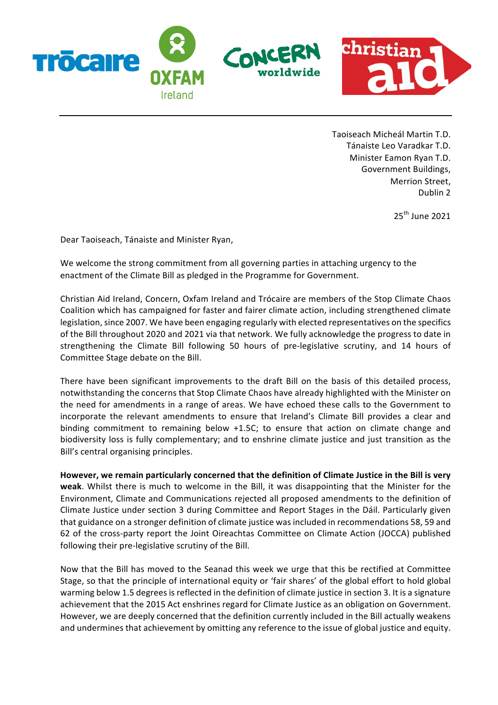

Taoiseach Micheál Martin T.D. Tánaiste Leo Varadkar T.D. Minister Eamon Ryan T.D. Government Buildings, Merrion Street, Dublin 2

 $25<sup>th</sup>$  June 2021

Dear Taoiseach, Tánaiste and Minister Ryan,

We welcome the strong commitment from all governing parties in attaching urgency to the enactment of the Climate Bill as pledged in the Programme for Government.

Christian Aid Ireland, Concern, Oxfam Ireland and Trócaire are members of the Stop Climate Chaos Coalition which has campaigned for faster and fairer climate action, including strengthened climate legislation, since 2007. We have been engaging regularly with elected representatives on the specifics of the Bill throughout 2020 and 2021 via that network. We fully acknowledge the progress to date in strengthening the Climate Bill following 50 hours of pre-legislative scrutiny, and 14 hours of Committee Stage debate on the Bill.

There have been significant improvements to the draft Bill on the basis of this detailed process, notwithstanding the concerns that Stop Climate Chaos have already highlighted with the Minister on the need for amendments in a range of areas. We have echoed these calls to the Government to incorporate the relevant amendments to ensure that Ireland's Climate Bill provides a clear and binding commitment to remaining below +1.5C; to ensure that action on climate change and biodiversity loss is fully complementary; and to enshrine climate justice and just transition as the Bill's central organising principles.

However, we remain particularly concerned that the definition of Climate Justice in the Bill is very **weak**. Whilst there is much to welcome in the Bill, it was disappointing that the Minister for the Environment, Climate and Communications rejected all proposed amendments to the definition of Climate Justice under section 3 during Committee and Report Stages in the Dáil. Particularly given that guidance on a stronger definition of climate justice was included in recommendations 58, 59 and 62 of the cross-party report the Joint Oireachtas Committee on Climate Action (JOCCA) published following their pre-legislative scrutiny of the Bill.

Now that the Bill has moved to the Seanad this week we urge that this be rectified at Committee Stage, so that the principle of international equity or 'fair shares' of the global effort to hold global warming below 1.5 degrees is reflected in the definition of climate justice in section 3. It is a signature achievement that the 2015 Act enshrines regard for Climate Justice as an obligation on Government. However, we are deeply concerned that the definition currently included in the Bill actually weakens and undermines that achievement by omitting any reference to the issue of global justice and equity.